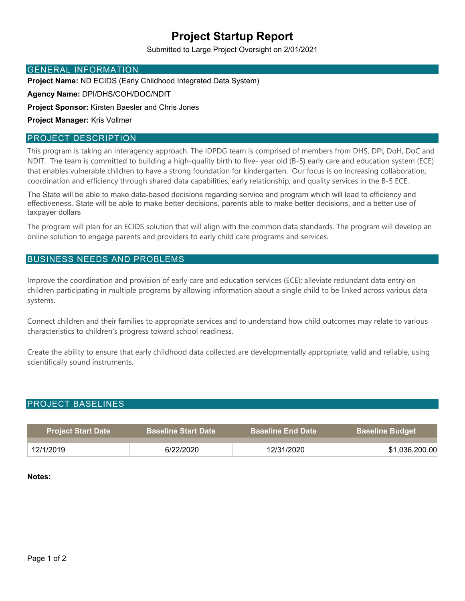# **Project Startup Report**

Submitted to Large Project Oversight on 2/01/2021

#### GENERAL INFORMATION

**Project Name:** ND ECIDS (Early Childhood Integrated Data System)

**Agency Name:** DPI/DHS/COH/DOC/NDIT

**Project Sponsor:** Kirsten Baesler and Chris Jones

**Project Manager:** Kris Vollmer

#### PROJECT DESCRIPTION

This program is taking an interagency approach. The IDPDG team is comprised of members from DHS, DPI, DoH, DoC and NDIT. The team is committed to building a high-quality birth to five- year old (B-5) early care and education system (ECE) that enables vulnerable children to have a strong foundation for kindergarten. Our focus is on increasing collaboration, coordination and efficiency through shared data capabilities, early relationship, and quality services in the B-5 ECE.

The State will be able to make data-based decisions regarding service and program which will lead to efficiency and effectiveness. State will be able to make better decisions, parents able to make better decisions, and a better use of taxpayer dollars

The program will plan for an ECIDS solution that will align with the common data standards. The program will develop an online solution to engage parents and providers to early child care programs and services*.* 

### BUSINESS NEEDS AND PROBLEMS

Improve the coordination and provision of early care and education services (ECE); alleviate redundant data entry on children participating in multiple programs by allowing information about a single child to be linked across various data systems.

Connect children and their families to appropriate services and to understand how child outcomes may relate to various characteristics to children's progress toward school readiness.

Create the ability to ensure that early childhood data collected are developmentally appropriate, valid and reliable, using scientifically sound instruments.

#### PROJECT BASELINES

| <b>Project Start Date</b> | <b>Baseline Start Date</b> | <b>Baseline End Date</b> | <b>Baseline Budget</b> |
|---------------------------|----------------------------|--------------------------|------------------------|
| 12/1/2019                 | 6/22/2020                  | 12/31/2020               | \$1,036,200.00         |

#### **Notes:**